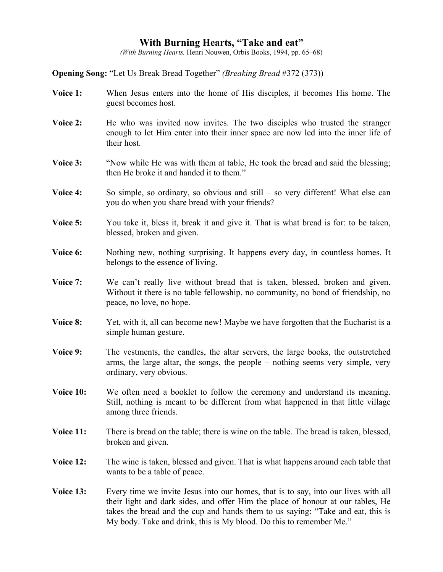## **With Burning Hearts, "Take and eat"**

*(With Burning Hearts,* Henri Nouwen, Orbis Books, 1994, pp. 65–68)

**Opening Song:** "Let Us Break Bread Together" *(Breaking Bread* #372 (373))

- **Voice 1:** When Jesus enters into the home of His disciples, it becomes His home. The guest becomes host.
- **Voice 2:** He who was invited now invites. The two disciples who trusted the stranger enough to let Him enter into their inner space are now led into the inner life of their host.
- **Voice 3:** "Now while He was with them at table, He took the bread and said the blessing; then He broke it and handed it to them."
- **Voice 4:** So simple, so ordinary, so obvious and still so very different! What else can you do when you share bread with your friends?
- **Voice 5:** You take it, bless it, break it and give it. That is what bread is for: to be taken, blessed, broken and given.
- **Voice 6:** Nothing new, nothing surprising. It happens every day, in countless homes. It belongs to the essence of living.
- **Voice 7:** We can't really live without bread that is taken, blessed, broken and given. Without it there is no table fellowship, no community, no bond of friendship, no peace, no love, no hope.
- **Voice 8:** Yet, with it, all can become new! Maybe we have forgotten that the Eucharist is a simple human gesture.
- **Voice 9:** The vestments, the candles, the altar servers, the large books, the outstretched arms, the large altar, the songs, the people – nothing seems very simple, very ordinary, very obvious.
- **Voice 10:** We often need a booklet to follow the ceremony and understand its meaning. Still, nothing is meant to be different from what happened in that little village among three friends.
- **Voice 11:** There is bread on the table; there is wine on the table. The bread is taken, blessed, broken and given.
- **Voice 12:** The wine is taken, blessed and given. That is what happens around each table that wants to be a table of peace.
- **Voice 13:** Every time we invite Jesus into our homes, that is to say, into our lives with all their light and dark sides, and offer Him the place of honour at our tables, He takes the bread and the cup and hands them to us saying: "Take and eat, this is My body. Take and drink, this is My blood. Do this to remember Me."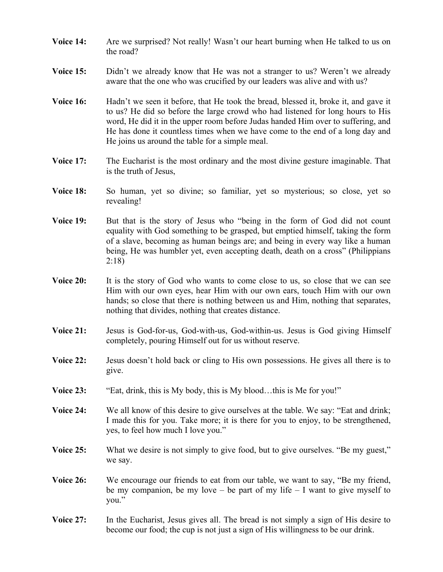- **Voice 14:** Are we surprised? Not really! Wasn't our heart burning when He talked to us on the road?
- **Voice 15:** Didn't we already know that He was not a stranger to us? Weren't we already aware that the one who was crucified by our leaders was alive and with us?
- **Voice 16:** Hadn't we seen it before, that He took the bread, blessed it, broke it, and gave it to us? He did so before the large crowd who had listened for long hours to His word, He did it in the upper room before Judas handed Him over to suffering, and He has done it countless times when we have come to the end of a long day and He joins us around the table for a simple meal.
- **Voice 17:** The Eucharist is the most ordinary and the most divine gesture imaginable. That is the truth of Jesus,
- **Voice 18:** So human, yet so divine; so familiar, yet so mysterious; so close, yet so revealing!
- **Voice 19:** But that is the story of Jesus who "being in the form of God did not count equality with God something to be grasped, but emptied himself, taking the form of a slave, becoming as human beings are; and being in every way like a human being, He was humbler yet, even accepting death, death on a cross" (Philippians 2:18)
- **Voice 20:** It is the story of God who wants to come close to us, so close that we can see Him with our own eyes, hear Him with our own ears, touch Him with our own hands; so close that there is nothing between us and Him, nothing that separates, nothing that divides, nothing that creates distance.
- **Voice 21:** Jesus is God-for-us, God-with-us, God-within-us. Jesus is God giving Himself completely, pouring Himself out for us without reserve.
- **Voice 22:** Jesus doesn't hold back or cling to His own possessions. He gives all there is to give.
- **Voice 23:** "Eat, drink, this is My body, this is My blood...this is Me for you!"
- **Voice 24:** We all know of this desire to give ourselves at the table. We say: "Eat and drink; I made this for you. Take more; it is there for you to enjoy, to be strengthened, yes, to feel how much I love you."
- **Voice 25:** What we desire is not simply to give food, but to give ourselves. "Be my guest," we say.
- **Voice 26:** We encourage our friends to eat from our table, we want to say, "Be my friend, be my companion, be my love – be part of my life  $-1$  want to give myself to you."
- **Voice 27:** In the Eucharist, Jesus gives all. The bread is not simply a sign of His desire to become our food; the cup is not just a sign of His willingness to be our drink.